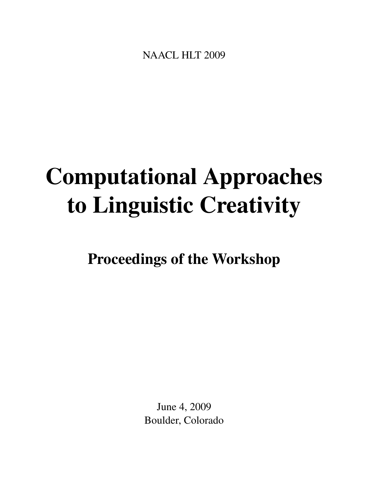<span id="page-0-0"></span>NAACL HLT 2009

# Computational Approaches to Linguistic Creativity

Proceedings of the Workshop

June 4, 2009 Boulder, Colorado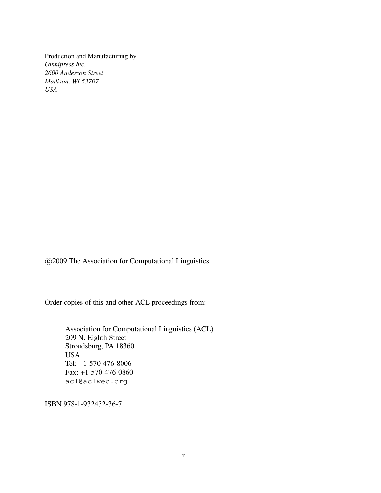Production and Manufacturing by *Omnipress Inc. 2600 Anderson Street Madison, WI 53707 USA*

c 2009 The Association for Computational Linguistics

Order copies of this and other ACL proceedings from:

Association for Computational Linguistics (ACL) 209 N. Eighth Street Stroudsburg, PA 18360 USA Tel: +1-570-476-8006 Fax: +1-570-476-0860 acl@aclweb.org

ISBN 978-1-932432-36-7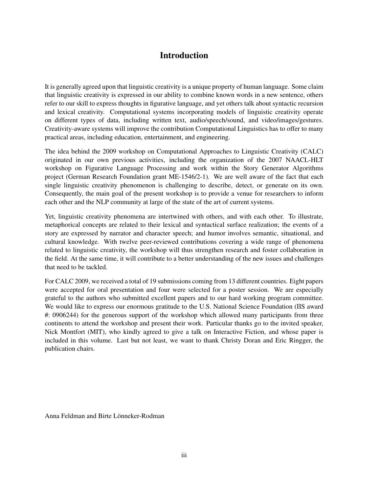### Introduction

It is generally agreed upon that linguistic creativity is a unique property of human language. Some claim that linguistic creativity is expressed in our ability to combine known words in a new sentence, others refer to our skill to express thoughts in figurative language, and yet others talk about syntactic recursion and lexical creativity. Computational systems incorporating models of linguistic creativity operate on different types of data, including written text, audio/speech/sound, and video/images/gestures. Creativity-aware systems will improve the contribution Computational Linguistics has to offer to many practical areas, including education, entertainment, and engineering.

The idea behind the 2009 workshop on Computational Approaches to Linguistic Creativity (CALC) originated in our own previous activities, including the organization of the 2007 NAACL-HLT workshop on Figurative Language Processing and work within the Story Generator Algorithms project (German Research Foundation grant ME-1546/2-1). We are well aware of the fact that each single linguistic creativity phenomenon is challenging to describe, detect, or generate on its own. Consequently, the main goal of the present workshop is to provide a venue for researchers to inform each other and the NLP community at large of the state of the art of current systems.

Yet, linguistic creativity phenomena are intertwined with others, and with each other. To illustrate, metaphorical concepts are related to their lexical and syntactical surface realization; the events of a story are expressed by narrator and character speech; and humor involves semantic, situational, and cultural knowledge. With twelve peer-reviewed contributions covering a wide range of phenomena related to linguistic creativity, the workshop will thus strengthen research and foster collaboration in the field. At the same time, it will contribute to a better understanding of the new issues and challenges that need to be tackled.

For CALC 2009, we received a total of 19 submissions coming from 13 different countries. Eight papers were accepted for oral presentation and four were selected for a poster session. We are especially grateful to the authors who submitted excellent papers and to our hard working program committee. We would like to express our enormous gratitude to the U.S. National Science Foundation (IIS award #: 0906244) for the generous support of the workshop which allowed many participants from three continents to attend the workshop and present their work. Particular thanks go to the invited speaker, Nick Montfort (MIT), who kindly agreed to give a talk on Interactive Fiction, and whose paper is included in this volume. Last but not least, we want to thank Christy Doran and Eric Ringger, the publication chairs.

Anna Feldman and Birte Lönneker-Rodman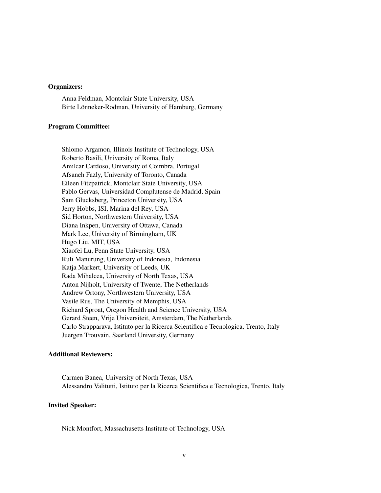#### Organizers:

Anna Feldman, Montclair State University, USA Birte Lönneker-Rodman, University of Hamburg, Germany

#### Program Committee:

Shlomo Argamon, Illinois Institute of Technology, USA Roberto Basili, University of Roma, Italy Amilcar Cardoso, University of Coimbra, Portugal Afsaneh Fazly, University of Toronto, Canada Eileen Fitzpatrick, Montclair State University, USA Pablo Gervas, Universidad Complutense de Madrid, Spain Sam Glucksberg, Princeton University, USA Jerry Hobbs, ISI, Marina del Rey, USA Sid Horton, Northwestern University, USA Diana Inkpen, University of Ottawa, Canada Mark Lee, University of Birmingham, UK Hugo Liu, MIT, USA Xiaofei Lu, Penn State University, USA Ruli Manurung, University of Indonesia, Indonesia Katja Markert, University of Leeds, UK Rada Mihalcea, University of North Texas, USA Anton Nijholt, University of Twente, The Netherlands Andrew Ortony, Northwestern University, USA Vasile Rus, The University of Memphis, USA Richard Sproat, Oregon Health and Science University, USA Gerard Steen, Vrije Universiteit, Amsterdam, The Netherlands Carlo Strapparava, Istituto per la Ricerca Scientifica e Tecnologica, Trento, Italy Juergen Trouvain, Saarland University, Germany

#### Additional Reviewers:

Carmen Banea, University of North Texas, USA Alessandro Valitutti, Istituto per la Ricerca Scientifica e Tecnologica, Trento, Italy

#### Invited Speaker:

Nick Montfort, Massachusetts Institute of Technology, USA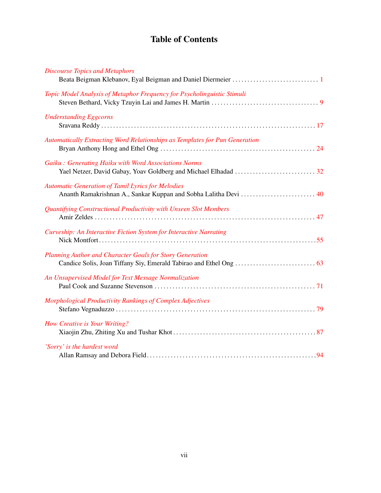# Table of Contents

| <b>Discourse Topics and Metaphors</b>                                                                                        |
|------------------------------------------------------------------------------------------------------------------------------|
| Topic Model Analysis of Metaphor Frequency for Psycholinguistic Stimuli                                                      |
| <b>Understanding Eggcorns</b>                                                                                                |
| Automatically Extracting Word Relationships as Templates for Pun Generation                                                  |
| Gaiku: Generating Haiku with Word Associations Norms                                                                         |
| <b>Automatic Generation of Tamil Lyrics for Melodies</b><br>Ananth Ramakrishnan A., Sankar Kuppan and Sobha Lalitha Devi  40 |
| Quantifying Constructional Productivity with Unseen Slot Members                                                             |
| Curveship: An Interactive Fiction System for Interactive Narrating                                                           |
| <b>Planning Author and Character Goals for Story Generation</b>                                                              |
| An Unsupervised Model for Text Message Normalization                                                                         |
| Morphological Productivity Rankings of Complex Adjectives                                                                    |
| <b>How Creative is Your Writing?</b>                                                                                         |
| 'Sorry' is the hardest word                                                                                                  |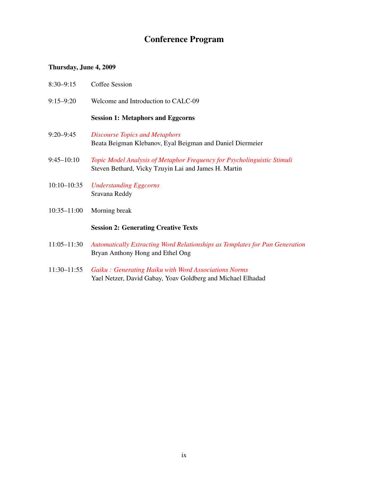## Conference Program

#### Thursday, June 4, 2009

- 8:30–9:15 Coffee Session
- 9:15–9:20 Welcome and Introduction to CALC-09

#### Session 1: Metaphors and Eggcorns

- 9:20–9:45 *[Discourse Topics and Metaphors](#page-0-0)* Beata Beigman Klebanov, Eyal Beigman and Daniel Diermeier
- 9:45–10:10 *[Topic Model Analysis of Metaphor Frequency for Psycholinguistic Stimuli](#page-0-0)* Steven Bethard, Vicky Tzuyin Lai and James H. Martin
- 10:10–10:35 *[Understanding Eggcorns](#page-0-0)* Sravana Reddy
- 10:35–11:00 Morning break

#### Session 2: Generating Creative Texts

- 11:05–11:30 *[Automatically Extracting Word Relationships as Templates for Pun Generation](#page-0-0)* Bryan Anthony Hong and Ethel Ong
- 11:30–11:55 *[Gaiku : Generating Haiku with Word Associations Norms](#page-0-0)* Yael Netzer, David Gabay, Yoav Goldberg and Michael Elhadad